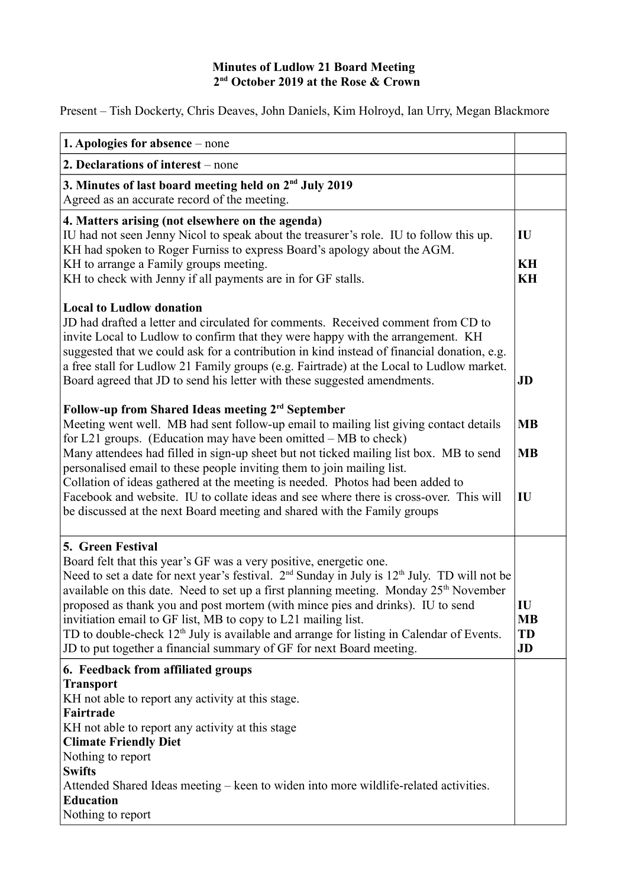## **Minutes of Ludlow 21 Board Meeting 2nd October 2019 at the Rose & Crown**

Present – Tish Dockerty, Chris Deaves, John Daniels, Kim Holroyd, Ian Urry, Megan Blackmore

| 1. Apologies for absence – none                                                                                                                                                                                                                                                                                                                                                                                                                                                                                                                                                                                                           |                             |
|-------------------------------------------------------------------------------------------------------------------------------------------------------------------------------------------------------------------------------------------------------------------------------------------------------------------------------------------------------------------------------------------------------------------------------------------------------------------------------------------------------------------------------------------------------------------------------------------------------------------------------------------|-----------------------------|
| 2. Declarations of interest – none                                                                                                                                                                                                                                                                                                                                                                                                                                                                                                                                                                                                        |                             |
| 3. Minutes of last board meeting held on 2 <sup>nd</sup> July 2019<br>Agreed as an accurate record of the meeting.                                                                                                                                                                                                                                                                                                                                                                                                                                                                                                                        |                             |
| 4. Matters arising (not elsewhere on the agenda)<br>IU had not seen Jenny Nicol to speak about the treasurer's role. IU to follow this up.<br>KH had spoken to Roger Furniss to express Board's apology about the AGM.                                                                                                                                                                                                                                                                                                                                                                                                                    | IU<br>KH                    |
| KH to arrange a Family groups meeting.<br>KH to check with Jenny if all payments are in for GF stalls.                                                                                                                                                                                                                                                                                                                                                                                                                                                                                                                                    | KH                          |
| <b>Local to Ludlow donation</b><br>JD had drafted a letter and circulated for comments. Received comment from CD to<br>invite Local to Ludlow to confirm that they were happy with the arrangement. KH<br>suggested that we could ask for a contribution in kind instead of financial donation, e.g.<br>a free stall for Ludlow 21 Family groups (e.g. Fairtrade) at the Local to Ludlow market.<br>Board agreed that JD to send his letter with these suggested amendments.                                                                                                                                                              | JD                          |
| Follow-up from Shared Ideas meeting 2 <sup>rd</sup> September<br>Meeting went well. MB had sent follow-up email to mailing list giving contact details<br>for L21 groups. (Education may have been omitted – MB to check)                                                                                                                                                                                                                                                                                                                                                                                                                 | <b>MB</b>                   |
| Many attendees had filled in sign-up sheet but not ticked mailing list box. MB to send<br>personalised email to these people inviting them to join mailing list.<br>Collation of ideas gathered at the meeting is needed. Photos had been added to<br>Facebook and website. IU to collate ideas and see where there is cross-over. This will<br>be discussed at the next Board meeting and shared with the Family groups                                                                                                                                                                                                                  | <b>MB</b><br>IU             |
| 5. Green Festival<br>Board felt that this year's GF was a very positive, energetic one.<br>Need to set a date for next year's festival. $2^{nd}$ Sunday in July is $12^{th}$ July. TD will not be<br>available on this date. Need to set up a first planning meeting. Monday 25 <sup>th</sup> November<br>proposed as thank you and post mortem (with mince pies and drinks). IU to send<br>invitiation email to GF list, MB to copy to L21 mailing list.<br>TD to double-check 12 <sup>th</sup> July is available and arrange for listing in Calendar of Events.<br>JD to put together a financial summary of GF for next Board meeting. | IU<br><b>MB</b><br>TD<br>JD |
| 6. Feedback from affiliated groups<br><b>Transport</b><br>KH not able to report any activity at this stage.<br>Fairtrade<br>KH not able to report any activity at this stage<br><b>Climate Friendly Diet</b><br>Nothing to report<br><b>Swifts</b><br>Attended Shared Ideas meeting – keen to widen into more wildlife-related activities.<br><b>Education</b><br>Nothing to report                                                                                                                                                                                                                                                       |                             |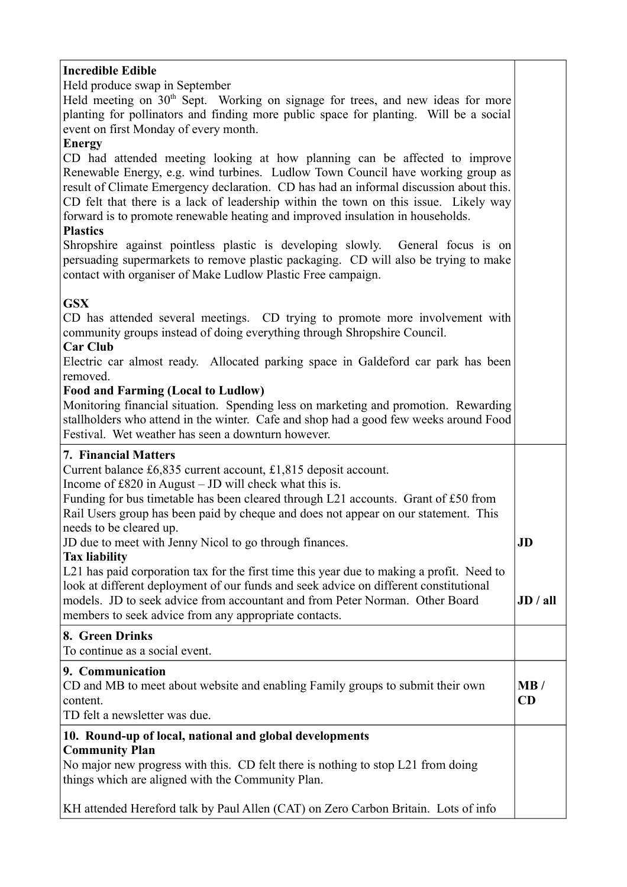# **Incredible Edible**

Held produce swap in September

Held meeting on  $30<sup>th</sup>$  Sept. Working on signage for trees, and new ideas for more planting for pollinators and finding more public space for planting. Will be a social event on first Monday of every month.

## **Energy**

CD had attended meeting looking at how planning can be affected to improve Renewable Energy, e.g. wind turbines. Ludlow Town Council have working group as result of Climate Emergency declaration. CD has had an informal discussion about this. CD felt that there is a lack of leadership within the town on this issue. Likely way forward is to promote renewable heating and improved insulation in households.

#### **Plastics**

Shropshire against pointless plastic is developing slowly. General focus is on persuading supermarkets to remove plastic packaging. CD will also be trying to make contact with organiser of Make Ludlow Plastic Free campaign.

## **GSX**

CD has attended several meetings. CD trying to promote more involvement with community groups instead of doing everything through Shropshire Council.

## **Car Club**

Electric car almost ready. Allocated parking space in Galdeford car park has been removed.

#### **Food and Farming (Local to Ludlow)**

Monitoring financial situation. Spending less on marketing and promotion. Rewarding stallholders who attend in the winter. Cafe and shop had a good few weeks around Food Festival. Wet weather has seen a downturn however.

## **7. Financial Matters**

Current balance £6,835 current account, £1,815 deposit account.

Income of £820 in August – JD will check what this is.

Funding for bus timetable has been cleared through L21 accounts. Grant of £50 from Rail Users group has been paid by cheque and does not appear on our statement. This needs to be cleared up.

JD due to meet with Jenny Nicol to go through finances.

## **Tax liability**

L21 has paid corporation tax for the first time this year due to making a profit. Need to look at different deployment of our funds and seek advice on different constitutional models. JD to seek advice from accountant and from Peter Norman. Other Board members to seek advice from any appropriate contacts. **JD / all**

**JD**

## **8. Green Drinks**

To continue as a social event.

## **9. Communication**

CD and MB to meet about website and enabling Family groups to submit their own content. TD felt a newsletter was due. **MB / CD**

#### **10. Round-up of local, national and global developments Community Plan**

No major new progress with this. CD felt there is nothing to stop L21 from doing things which are aligned with the Community Plan.

KH attended Hereford talk by Paul Allen (CAT) on Zero Carbon Britain. Lots of info